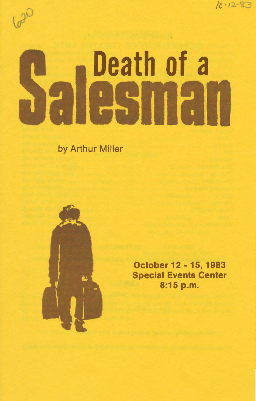

# $b^2$

# Death of a

by Arthur Miller



October 12 - 15, 1983 Special Events Center 8:15 p.m.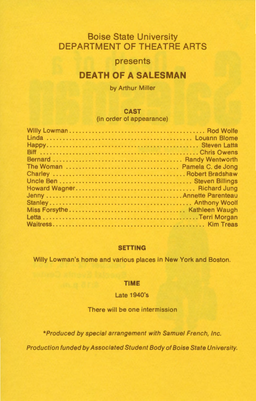# **Boise State University DEPARTMENT OF THEATRE ARTS**

## **presents**

# **DEATH OF A SALESMAN**

by Arthur Miller

#### **CAST**

(in order of appearance)

#### **SETTING**

Willy Lowman's home and various places in New York and Boston.

#### **TIME**

#### Late 1940's

#### There will be one intermission

\*Produced by special arrangement with Samuel French, Inc.

Production funded by Associated Student Body of Boise State University.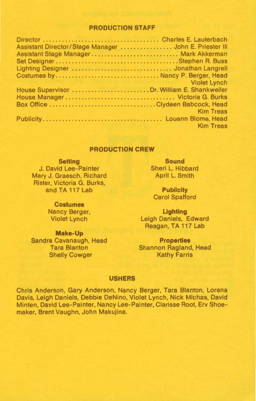#### **PRODUCTION STAFF**

| Assistant Director/Stage Manager  John E. Priester III |                     |
|--------------------------------------------------------|---------------------|
| Assistant Stage Manager  Mark Akkerman                 |                     |
|                                                        |                     |
| Lighting Designer  Jonathan Langrell                   |                     |
| Costumes by Nancy P. Berger, Head                      |                     |
| <b>DESCRIPTION OF PROPERTY AND STREET</b>              | <b>Violet Lynch</b> |
| House Supervisor  Dr. William E. Shankweiler           |                     |
|                                                        |                     |
| Box Office Clydeen Babcock, Head                       |                     |
|                                                        | <b>Kim Treas</b>    |
|                                                        |                     |
|                                                        | <b>Kim Treas</b>    |
|                                                        |                     |

#### **PRODUCTION CREW**

**Setting**  J. David Lee-Painter Mary J. Graesch, Richard Rister, Victoria G. Burks, and TA 117 Lab

> **Costumes**  Nancy Berger, Violet Lynch

**Make-Up**  Sandra Cavanaugh, Head Tara Blanton Shelly Cowger

**Sound**  Sheri L. Hibbard April L. Smith

**Publicity**  Carol Spafford

**Lighting**  Leigh Daniels, Edward Reagan, TA 117 Lab

**Properties**  Shannon Ragland, Head Kathy Farris

#### **USHERS**

Chris Anderson, Gary Anderson, Nancy Berger, Tara Blanton, Lorena Davis, Leigh Daniels, Debbie DeNino, Violet Lynch, Nick Michas, David Minten, David Lee-Painter, Nancy Lee-Painter, Clarisse Root, Erv Shoemaker, Brent Vaughn, John Makujina.